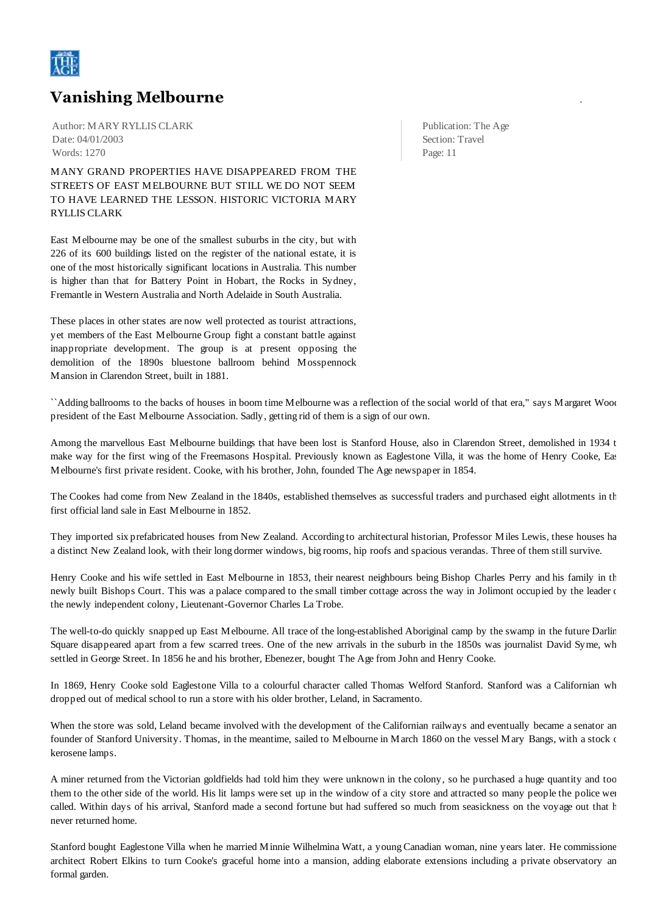

## **Vanishing Melbourne** .

Author: MARY RYLLIS CLARK Date: 04/01/2003 Words: 1270

MANY GRAND PROPERTIES HAVE DISAPPEARED FROM THE STREETS OF EAST MELBOURNE BUT STILL WE DO NOT SEEM TO HAVE LEARNED THE LESSON. HISTORIC VICTORIA MARY RYLLIS CLARK

East Melbourne may be one of the smallest suburbs in the city, but with 226 of its 600 buildings listed on the register of the national estate, it is one of the most historically significant locations in Australia. This number is higher than that for Battery Point in Hobart, the Rocks in Sydney, Fremantle in Western Australia and North Adelaide in South Australia.

These places in other states are now well protected as tourist attractions, yet members of the East Melbourne Group fight a constant battle against inappropriate development. The group is at present opposing the demolition of the 1890s bluestone ballroom behind Mosspennock Mansion in Clarendon Street, built in 1881.

Publication: The Age Section: Travel Page: 11

``Adding ballrooms to the backs of houses in boom time Melbourne was a reflection of the social world of that era," says Margaret Wood, president of the East Melbourne Association. Sadly, getting rid of them is a sign of our own.

Among the marvellous East Melbourne buildings that have been lost is Stanford House, also in Clarendon Street, demolished in 1934 t make way for the first wing of the Freemasons Hospital. Previously known as Eaglestone Villa, it was the home of Henry Cooke, East Melbourne's first private resident. Cooke, with his brother, John, founded The Age newspaper in 1854.

The Cookes had come from New Zealand in the 1840s, established themselves as successful traders and purchased eight allotments in the first official land sale in East Melbourne in 1852.

They imported six prefabricated houses from New Zealand. According to architectural historian, Professor Miles Lewis, these houses had a distinct New Zealand look, with their long dormer windows, big rooms, hip roofs and spacious verandas. Three of them still survive.

Henry Cooke and his wife settled in East Melbourne in 1853, their nearest neighbours being Bishop Charles Perry and his family in the newly built Bishops Court. This was a palace compared to the small timber cottage across the way in Jolimont occupied by the leader of the newly independent colony, Lieutenant-Governor Charles La Trobe.

The well-to-do quickly snapped up East Melbourne. All trace of the long-established Aboriginal camp by the swamp in the future Darling Square disappeared apart from a few scarred trees. One of the new arrivals in the suburb in the 1850s was journalist David Syme, wh settled in George Street. In 1856 he and his brother, Ebenezer, bought The Age from John and Henry Cooke.

In 1869, Henry Cooke sold Eaglestone Villa to a colourful character called Thomas Welford Stanford. Stanford was a Californian wh dropped out of medical school to run a store with his older brother, Leland, in Sacramento.

When the store was sold, Leland became involved with the development of the Californian railways and eventually became a senator an founder of Stanford University. Thomas, in the meantime, sailed to Melbourne in March 1860 on the vessel Mary Bangs, with a stock of kerosene lamps.

A miner returned from the Victorian goldfields had told him they were unknown in the colony, so he purchased a huge quantity and took them to the other side of the world. His lit lamps were set up in the window of a city store and attracted so many people the police were called. Within days of his arrival, Stanford made a second fortune but had suffered so much from seasickness on the voyage out that he never returned home.

Stanford bought Eaglestone Villa when he married Minnie Wilhelmina Watt, a young Canadian woman, nine years later. He commissioned architect Robert Elkins to turn Cooke's graceful home into a mansion, adding elaborate extensions including a private observatory an formal garden.